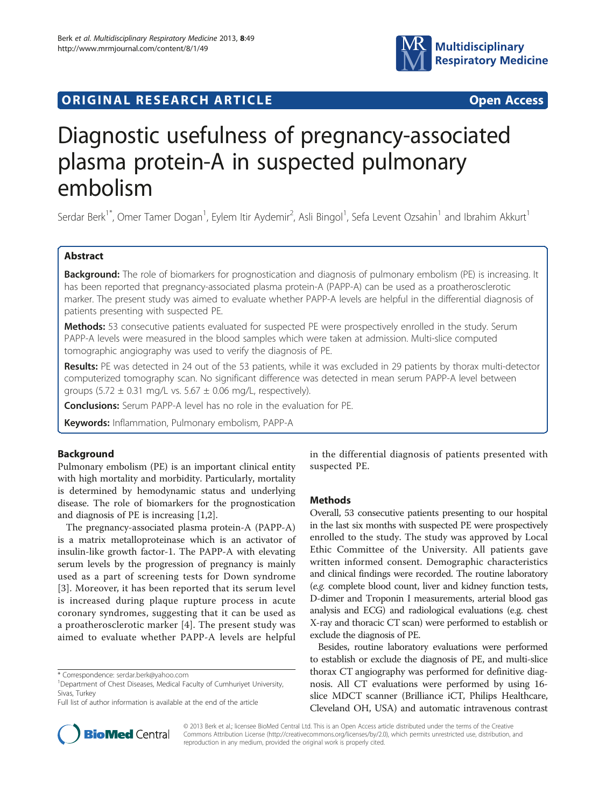

# **ORIGINAL RESEARCH ARTICLE CONSUMING ACCESS**

# Diagnostic usefulness of pregnancy-associated plasma protein-A in suspected pulmonary embolism

Serdar Berk<sup>1\*</sup>, Omer Tamer Dogan<sup>1</sup>, Eylem Itir Aydemir<sup>2</sup>, Asli Bingol<sup>1</sup>, Sefa Levent Ozsahin<sup>1</sup> and Ibrahim Akkurt<sup>1</sup>

### Abstract

Background: The role of biomarkers for prognostication and diagnosis of pulmonary embolism (PE) is increasing. It has been reported that pregnancy-associated plasma protein-A (PAPP-A) can be used as a proatherosclerotic marker. The present study was aimed to evaluate whether PAPP-A levels are helpful in the differential diagnosis of patients presenting with suspected PE.

Methods: 53 consecutive patients evaluated for suspected PE were prospectively enrolled in the study. Serum PAPP-A levels were measured in the blood samples which were taken at admission. Multi-slice computed tomographic angiography was used to verify the diagnosis of PE.

Results: PE was detected in 24 out of the 53 patients, while it was excluded in 29 patients by thorax multi-detector computerized tomography scan. No significant difference was detected in mean serum PAPP-A level between groups (5.72  $\pm$  0.31 mg/L vs. 5.67  $\pm$  0.06 mg/L, respectively).

Conclusions: Serum PAPP-A level has no role in the evaluation for PE.

Keywords: Inflammation, Pulmonary embolism, PAPP-A

## Background

Pulmonary embolism (PE) is an important clinical entity with high mortality and morbidity. Particularly, mortality is determined by hemodynamic status and underlying disease. The role of biomarkers for the prognostication and diagnosis of PE is increasing [[1,2\]](#page-3-0).

The pregnancy-associated plasma protein-A (PAPP-A) is a matrix metalloproteinase which is an activator of insulin-like growth factor-1. The PAPP-A with elevating serum levels by the progression of pregnancy is mainly used as a part of screening tests for Down syndrome [[3](#page-3-0)]. Moreover, it has been reported that its serum level is increased during plaque rupture process in acute coronary syndromes, suggesting that it can be used as a proatherosclerotic marker [\[4\]](#page-3-0). The present study was aimed to evaluate whether PAPP-A levels are helpful



#### Methods

Overall, 53 consecutive patients presenting to our hospital in the last six months with suspected PE were prospectively enrolled to the study. The study was approved by Local Ethic Committee of the University. All patients gave written informed consent. Demographic characteristics and clinical findings were recorded. The routine laboratory (e.g. complete blood count, liver and kidney function tests, D-dimer and Troponin I measurements, arterial blood gas analysis and ECG) and radiological evaluations (e.g. chest X-ray and thoracic CT scan) were performed to establish or exclude the diagnosis of PE.

Besides, routine laboratory evaluations were performed to establish or exclude the diagnosis of PE, and multi-slice thorax CT angiography was performed for definitive diagnosis. All CT evaluations were performed by using 16 slice MDCT scanner (Brilliance iCT, Philips Healthcare, Cleveland OH, USA) and automatic intravenous contrast



© 2013 Berk et al.; licensee BioMed Central Ltd. This is an Open Access article distributed under the terms of the Creative Commons Attribution License [\(http://creativecommons.org/licenses/by/2.0\)](http://creativecommons.org/licenses/by/2.0), which permits unrestricted use, distribution, and reproduction in any medium, provided the original work is properly cited.

<sup>\*</sup> Correspondence: [serdar.berk@yahoo.com](mailto:serdar.berk@yahoo.com) <sup>1</sup>

<sup>&</sup>lt;sup>1</sup> Department of Chest Diseases, Medical Faculty of Cumhuriyet University, Sivas, Turkey

Full list of author information is available at the end of the article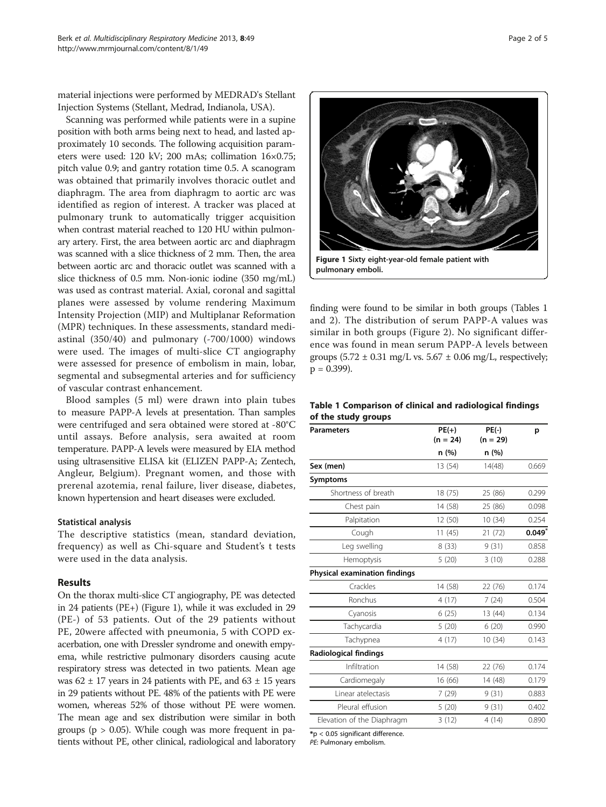material injections were performed by MEDRAD's Stellant Injection Systems (Stellant, Medrad, Indianola, USA).

Scanning was performed while patients were in a supine position with both arms being next to head, and lasted approximately 10 seconds. The following acquisition parameters were used: 120 kV; 200 mAs; collimation 16×0.75; pitch value 0.9; and gantry rotation time 0.5. A scanogram was obtained that primarily involves thoracic outlet and diaphragm. The area from diaphragm to aortic arc was identified as region of interest. A tracker was placed at pulmonary trunk to automatically trigger acquisition when contrast material reached to 120 HU within pulmonary artery. First, the area between aortic arc and diaphragm was scanned with a slice thickness of 2 mm. Then, the area between aortic arc and thoracic outlet was scanned with a slice thickness of 0.5 mm. Non-ionic iodine (350 mg/mL) was used as contrast material. Axial, coronal and sagittal planes were assessed by volume rendering Maximum Intensity Projection (MIP) and Multiplanar Reformation (MPR) techniques. In these assessments, standard mediastinal (350/40) and pulmonary (-700/1000) windows were used. The images of multi-slice CT angiography were assessed for presence of embolism in main, lobar, segmental and subsegmental arteries and for sufficiency of vascular contrast enhancement.

Blood samples (5 ml) were drawn into plain tubes to measure PAPP-A levels at presentation. Than samples were centrifuged and sera obtained were stored at -80°C until assays. Before analysis, sera awaited at room temperature. PAPP-A levels were measured by EIA method using ultrasensitive ELISA kit (ELIZEN PAPP-A; Zentech, Angleur, Belgium). Pregnant women, and those with prerenal azotemia, renal failure, liver disease, diabetes, known hypertension and heart diseases were excluded.

#### Statistical analysis

The descriptive statistics (mean, standard deviation, frequency) as well as Chi-square and Student's t tests were used in the data analysis.

#### Results

On the thorax multi-slice CT angiography, PE was detected in 24 patients (PE+) (Figure 1), while it was excluded in 29 (PE-) of 53 patients. Out of the 29 patients without PE, 20were affected with pneumonia, 5 with COPD exacerbation, one with Dressler syndrome and onewith empyema, while restrictive pulmonary disorders causing acute respiratory stress was detected in two patients. Mean age was 62  $\pm$  17 years in 24 patients with PE, and 63  $\pm$  15 years in 29 patients without PE. 48% of the patients with PE were women, whereas 52% of those without PE were women. The mean age and sex distribution were similar in both groups ( $p > 0.05$ ). While cough was more frequent in patients without PE, other clinical, radiological and laboratory



pulmonary emboli.

finding were found to be similar in both groups (Tables 1 and [2](#page-2-0)). The distribution of serum PAPP-A values was similar in both groups (Figure [2\)](#page-2-0). No significant difference was found in mean serum PAPP-A levels between groups  $(5.72 \pm 0.31 \text{ mg/L vs. } 5.67 \pm 0.06 \text{ mg/L}, \text{respectively};$  $p = 0.399$ ).

#### Table 1 Comparison of clinical and radiological findings of the study groups

| <b>Parameters</b>                    | $PE(+)$<br>$(n = 24)$ | $PE(-)$<br>$(n = 29)$ | p     |
|--------------------------------------|-----------------------|-----------------------|-------|
|                                      | n (%)                 | n(%)                  |       |
| Sex (men)                            | 13 (54)               | 14(48)                | 0.669 |
| Symptoms                             |                       |                       |       |
| Shortness of breath                  | 18 (75)               | 25 (86)               | 0.299 |
| Chest pain                           | 14 (58)               | 25 (86)               | 0.098 |
| Palpitation                          | 12 (50)               | 10(34)                | 0.254 |
| Cough                                | 11(45)                | 21(72)                | 0.049 |
| Leg swelling                         | 8(33)                 | 9(31)                 | 0.858 |
| Hemoptysis                           | 5(20)                 | 3(10)                 | 0.288 |
| <b>Physical examination findings</b> |                       |                       |       |
| Crackles                             | 14 (58)               | 22 (76)               | 0.174 |
| Ronchus                              | 4(17)                 | 7(24)                 | 0.504 |
| Cyanosis                             | 6(25)                 | 13 (44)               | 0.134 |
| Tachycardia                          | 5(20)                 | 6(20)                 | 0.990 |
| Tachypnea                            | 4(17)                 | 10 (34)               | 0.143 |
| Radiological findings                |                       |                       |       |
| Infiltration                         | 14 (58)               | 22 (76)               | 0.174 |
| Cardiomegaly                         | 16 (66)               | 14 (48)               | 0.179 |
| Linear atelectasis                   | 7(29)                 | 9(31)                 | 0.883 |
| Pleural effusion                     | 5(20)                 | 9(31)                 | 0.402 |
| Elevation of the Diaphragm           | 3(12)                 | 4(14)                 | 0.890 |

\*p < 0.05 significant difference.

PE: Pulmonary embolism.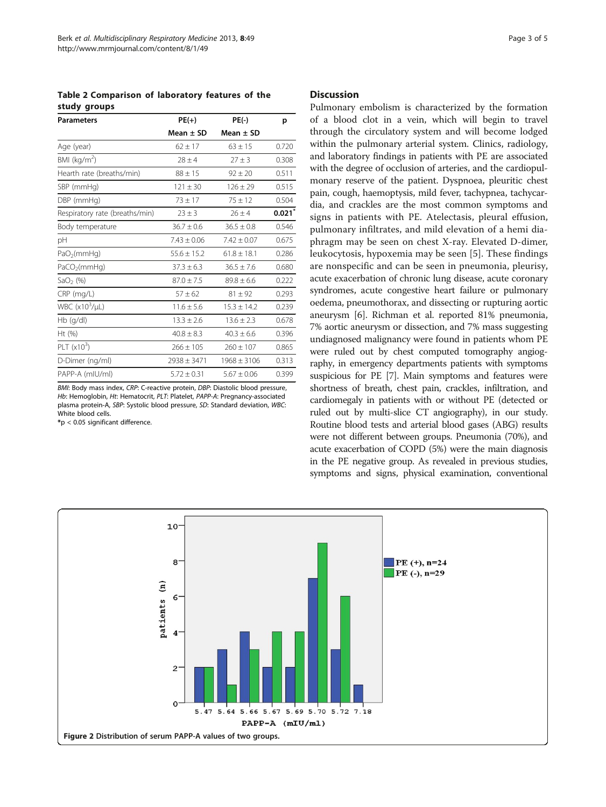<span id="page-2-0"></span>Table 2 Comparison of laboratory features of the study groups

| <b>Parameters</b>              | $PE(+)$<br>Mean $\pm$ SD | $PE(-)$<br>Mean $\pm$ SD | p     |
|--------------------------------|--------------------------|--------------------------|-------|
|                                |                          |                          |       |
| BMI ( $kg/m2$ )                | $78 + 4$                 | $27 \pm 3$               | 0.308 |
| Hearth rate (breaths/min)      | $88 \pm 15$              | $92 \pm 20$              | 0.511 |
| SBP (mmHg)                     | $121 \pm 30$             | $126 + 29$               | 0.515 |
| DBP (mmHg)                     | $73 \pm 17$              | $75 \pm 12$              | 0.504 |
| Respiratory rate (breaths/min) | $23 \pm 3$               | $26 \pm 4$               | 0.021 |
| Body temperature               | $36.7 \pm 0.6$           | $36.5 \pm 0.8$           | 0.546 |
| pH                             | $7.43 \pm 0.06$          | $7.42 \pm 0.07$          | 0.675 |
| PaO <sub>2</sub> (mmHq)        | $55.6 \pm 15.2$          | $61.8 \pm 18.1$          | 0.286 |
| PaCO <sub>2</sub> (mmHq)       | $37.3 \pm 6.3$           | $36.5 \pm 7.6$           | 0.680 |
| SaO <sub>2</sub> $(\%)$        | $87.0 \pm 7.5$           | $89.8 \pm 6.6$           | 0.222 |
| $CRP$ (mg/L)                   | $57 \pm 62$              | $81 \pm 92$              | 0.293 |
| WBC $(x10^3/\mu L)$            | $11.6 \pm 5.6$           | $15.3 \pm 14.2$          | 0.239 |
| $Hb$ (g/dl)                    | $13.3 \pm 2.6$           | $13.6 \pm 2.3$           | 0.678 |
| Ht $(\% )$                     | $40.8 \pm 8.3$           | $40.3 \pm 6.6$           | 0.396 |
| PLT $(x10^3)$                  | $266 \pm 105$            | $260 \pm 107$            | 0.865 |
| D-Dimer (ng/ml)                | $2938 \pm 3471$          | $1968 \pm 3106$          | 0.313 |
| PAPP-A (mIU/ml)                | $5.72 + 0.31$            | $5.67 \pm 0.06$          | 0.399 |

BMI: Body mass index, CRP: C-reactive protein, DBP: Diastolic blood pressure, Hb: Hemoglobin, Ht: Hematocrit, PLT: Platelet, PAPP-A: Pregnancy-associated plasma protein-A, SBP: Systolic blood pressure, SD: Standard deviation, WBC: White blood cells.

\*p < 0.05 significant difference.

#### **Discussion**

Pulmonary embolism is characterized by the formation of a blood clot in a vein, which will begin to travel through the circulatory system and will become lodged within the pulmonary arterial system. Clinics, radiology, and laboratory findings in patients with PE are associated with the degree of occlusion of arteries, and the cardiopulmonary reserve of the patient. Dyspnoea, pleuritic chest pain, cough, haemoptysis, mild fever, tachypnea, tachycardia, and crackles are the most common symptoms and signs in patients with PE. Atelectasis, pleural effusion, pulmonary infiltrates, and mild elevation of a hemi diaphragm may be seen on chest X-ray. Elevated D-dimer, leukocytosis, hypoxemia may be seen [[5\]](#page-3-0). These findings are nonspecific and can be seen in pneumonia, pleurisy, acute exacerbation of chronic lung disease, acute coronary syndromes, acute congestive heart failure or pulmonary oedema, pneumothorax, and dissecting or rupturing aortic aneurysm [\[6](#page-3-0)]. Richman et al. reported 81% pneumonia, 7% aortic aneurysm or dissection, and 7% mass suggesting undiagnosed malignancy were found in patients whom PE were ruled out by chest computed tomography angiography, in emergency departments patients with symptoms suspicious for PE [\[7](#page-4-0)]. Main symptoms and features were shortness of breath, chest pain, crackles, infiltration, and cardiomegaly in patients with or without PE (detected or ruled out by multi-slice CT angiography), in our study. Routine blood tests and arterial blood gases (ABG) results were not different between groups. Pneumonia (70%), and acute exacerbation of COPD (5%) were the main diagnosis in the PE negative group. As revealed in previous studies, symptoms and signs, physical examination, conventional

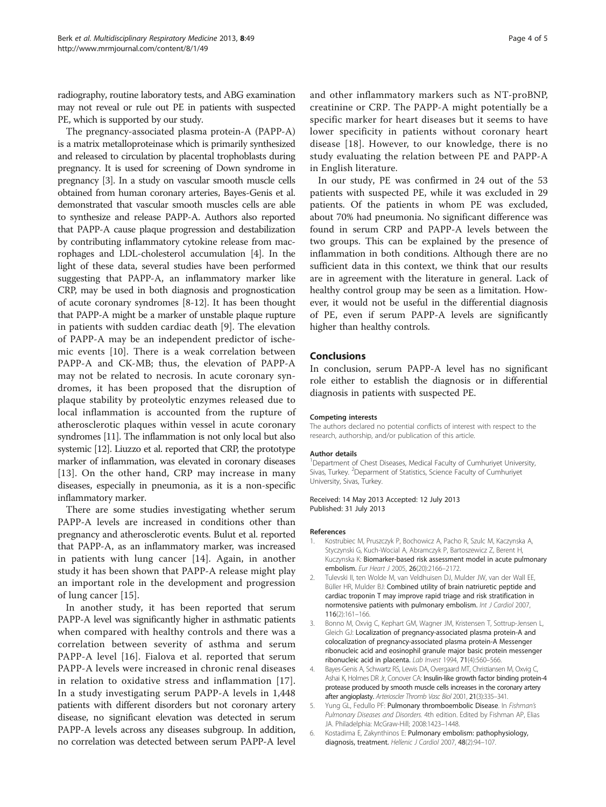<span id="page-3-0"></span>radiography, routine laboratory tests, and ABG examination may not reveal or rule out PE in patients with suspected PE, which is supported by our study.

The pregnancy-associated plasma protein-A (PAPP-A) is a matrix metalloproteinase which is primarily synthesized and released to circulation by placental trophoblasts during pregnancy. It is used for screening of Down syndrome in pregnancy [3]. In a study on vascular smooth muscle cells obtained from human coronary arteries, Bayes-Genis et al. demonstrated that vascular smooth muscles cells are able to synthesize and release PAPP-A. Authors also reported that PAPP-A cause plaque progression and destabilization by contributing inflammatory cytokine release from macrophages and LDL-cholesterol accumulation [4]. In the light of these data, several studies have been performed suggesting that PAPP-A, an inflammatory marker like CRP, may be used in both diagnosis and prognostication of acute coronary syndromes [\[8](#page-4-0)-[12](#page-4-0)]. It has been thought that PAPP-A might be a marker of unstable plaque rupture in patients with sudden cardiac death [\[9](#page-4-0)]. The elevation of PAPP-A may be an independent predictor of ischemic events [[10](#page-4-0)]. There is a weak correlation between PAPP-A and CK-MB; thus, the elevation of PAPP-A may not be related to necrosis. In acute coronary syndromes, it has been proposed that the disruption of plaque stability by proteolytic enzymes released due to local inflammation is accounted from the rupture of atherosclerotic plaques within vessel in acute coronary syndromes [[11](#page-4-0)]. The inflammation is not only local but also systemic [[12\]](#page-4-0). Liuzzo et al. reported that CRP, the prototype marker of inflammation, was elevated in coronary diseases [[13](#page-4-0)]. On the other hand, CRP may increase in many diseases, especially in pneumonia, as it is a non-specific inflammatory marker.

There are some studies investigating whether serum PAPP-A levels are increased in conditions other than pregnancy and atherosclerotic events. Bulut et al. reported that PAPP-A, as an inflammatory marker, was increased in patients with lung cancer [[14\]](#page-4-0). Again, in another study it has been shown that PAPP-A release might play an important role in the development and progression of lung cancer [[15\]](#page-4-0).

In another study, it has been reported that serum PAPP-A level was significantly higher in asthmatic patients when compared with healthy controls and there was a correlation between severity of asthma and serum PAPP-A level [\[16\]](#page-4-0). Fialova et al. reported that serum PAPP-A levels were increased in chronic renal diseases in relation to oxidative stress and inflammation [[17](#page-4-0)]. In a study investigating serum PAPP-A levels in 1,448 patients with different disorders but not coronary artery disease, no significant elevation was detected in serum PAPP-A levels across any diseases subgroup. In addition, no correlation was detected between serum PAPP-A level

and other inflammatory markers such as NT-proBNP, creatinine or CRP. The PAPP-A might potentially be a specific marker for heart diseases but it seems to have lower specificity in patients without coronary heart disease [\[18\]](#page-4-0). However, to our knowledge, there is no study evaluating the relation between PE and PAPP-A in English literature.

In our study, PE was confirmed in 24 out of the 53 patients with suspected PE, while it was excluded in 29 patients. Of the patients in whom PE was excluded, about 70% had pneumonia. No significant difference was found in serum CRP and PAPP-A levels between the two groups. This can be explained by the presence of inflammation in both conditions. Although there are no sufficient data in this context, we think that our results are in agreement with the literature in general. Lack of healthy control group may be seen as a limitation. However, it would not be useful in the differential diagnosis of PE, even if serum PAPP-A levels are significantly higher than healthy controls.

#### Conclusions

In conclusion, serum PAPP-A level has no significant role either to establish the diagnosis or in differential diagnosis in patients with suspected PE.

#### Competing interests

The authors declared no potential conflicts of interest with respect to the research, authorship, and/or publication of this article.

#### Author details

<sup>1</sup>Department of Chest Diseases, Medical Faculty of Cumhuriyet University, Sivas, Turkey. <sup>2</sup>Deparment of Statistics, Science Faculty of Cumhuriyet University, Sivas, Turkey.

#### Received: 14 May 2013 Accepted: 12 July 2013 Published: 31 July 2013

#### References

- 1. Kostrubiec M, Pruszczyk P, Bochowicz A, Pacho R, Szulc M, Kaczynska A, Styczynski G, Kuch-Wocial A, Abramczyk P, Bartoszewicz Z, Berent H, Kuczynska K: Biomarker-based risk assessment model in acute pulmonary embolism. Eur Heart J 2005, 26(20):2166–2172.
- 2. Tulevski II, ten Wolde M, van Veldhuisen DJ, Mulder JW, van der Wall EE, Büller HR, Mulder BJ: Combined utility of brain natriuretic peptide and cardiac troponin T may improve rapid triage and risk stratification in normotensive patients with pulmonary embolism. Int J Cardiol 2007, 116(2):161–166.
- 3. Bonno M, Oxvig C, Kephart GM, Wagner JM, Kristensen T, Sottrup-Jensen L, Gleich GJ: Localization of pregnancy-associated plasma protein-A and colocalization of pregnancy-associated plasma protein-A Messenger ribonucleic acid and eosinophil granule major basic protein messenger ribonucleic acid in placenta. Lab Invest 1994, 71(4):560–566.
- Bayes-Genis A, Schwartz RS, Lewis DA, Overgaard MT, Christiansen M, Oxvig C, Ashai K, Holmes DR Jr, Conover CA: Insulin-like growth factor binding protein-4 protease produced by smooth muscle cells increases in the coronary artery after angioplasty. Arterioscler Thromb Vasc Biol 2001, 21(3):335–341.
- 5. Yung GL, Fedullo PF: Pulmonary thromboembolic Disease. In Fishman's Pulmonary Diseases and Disorders. 4th edition. Edited by Fishman AP, Elias JA. Philadelphia: McGraw-Hill; 2008:1423–1448.
- 6. Kostadima E, Zakynthinos E: Pulmonary embolism: pathophysiology, diagnosis, treatment. Hellenic J Cardiol 2007, 48(2):94-107.